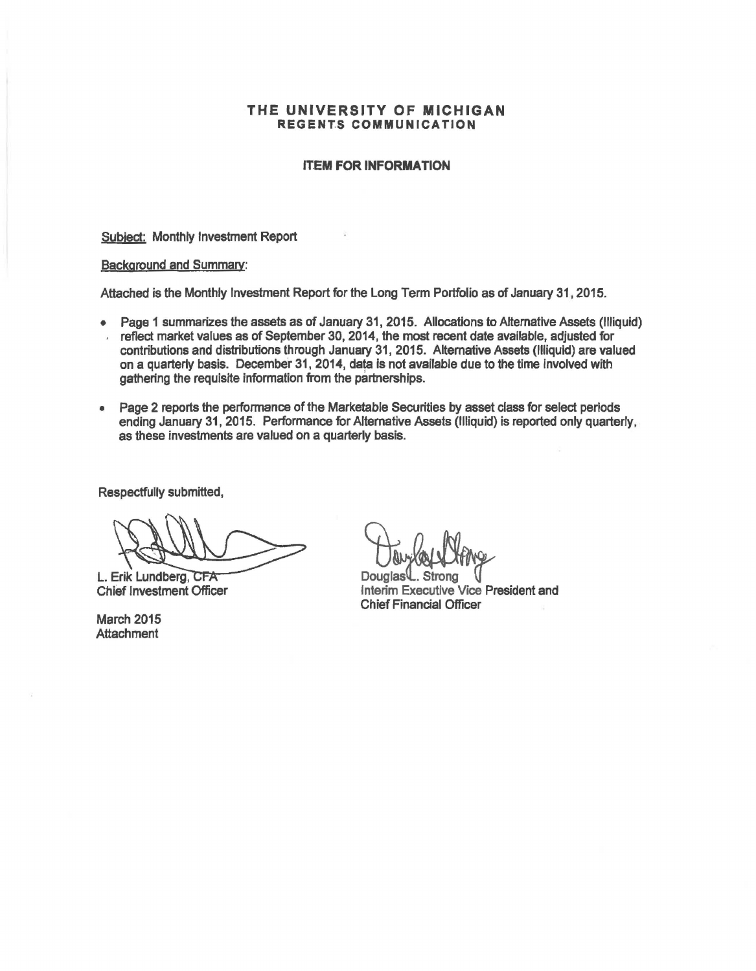### THE UNIVERSITY OF MICHIGAN REGENTS COMMUNICATION

#### **ITEM FOR INFORMATION**

Subjed: Monthly Investment Report

#### Background and Summarv:

Attached is the Monthly Investment Report for the Long Term Portfolio as of January 31, 2015.

- Page 1 summarizes the assets as of January 31, 2015. Allocations to Alternative Assets (Illiquid)
- reflect market values as of September 30, 2014, the most recent date available, adjusted for contributions and distributions through January 31, 2015. Alternative Assets (Illiquid) are valued on a quarterly basis. December 31, 2014, data is not available due to the time involved with gathering the requisite information from the partnerships.
- Page 2 reports the performance of the Marketable Securities by asset class for select periods ending January 31, 2015. Performance for Alternative Assets (Illiquid) is reported only quarterly, as these investments are valued on a quarterly basis.

Respedfully submitted,

L. Erik Lundberg, Chief Investment Officer

March 2015 **Attachment** 

**Jurice Victor**<br>Douglas L. Strong<br>Interim Executive Vice President and Chief Financial Officer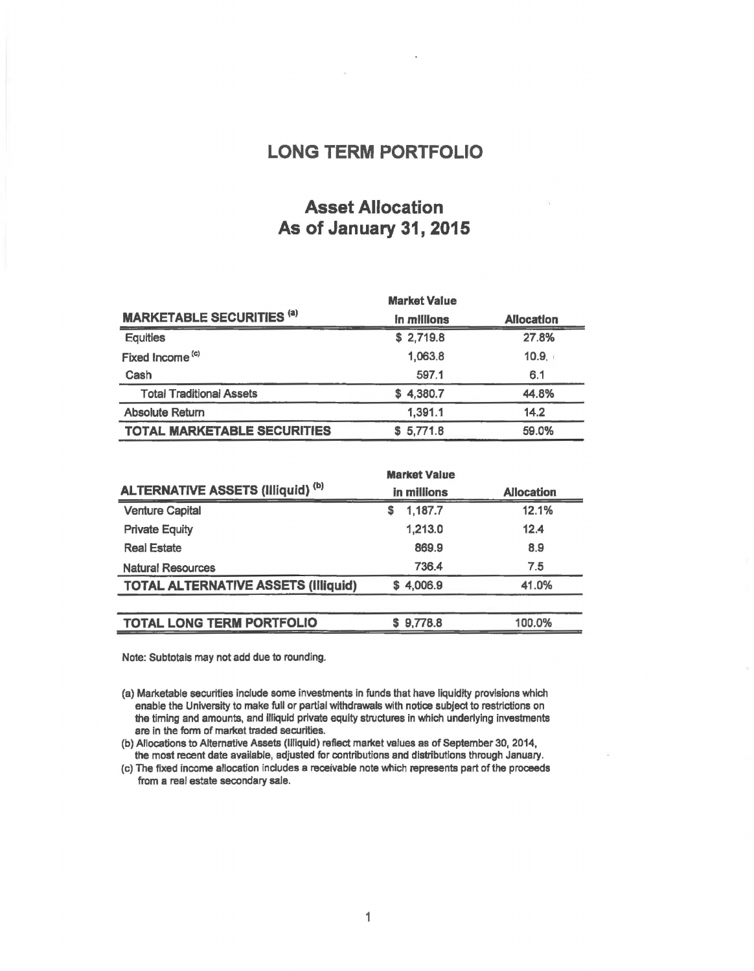### LONG TERM PORTFOLIO

## Asset Allocation As of January 31, 2015

|                                    | <b>Market Value</b> |                   |
|------------------------------------|---------------------|-------------------|
| <b>MARKETABLE SECURITIES (a)</b>   | In millions         | <b>Allocation</b> |
| <b>Equities</b>                    | \$2,719.8           | 27.8%             |
| Fixed Income <sup>(c)</sup>        | 1,063.8             | 10.9.             |
| Cash                               | 597.1               | 6.1               |
| <b>Total Traditional Assets</b>    | \$4,380.7           | 44.8%             |
| <b>Absolute Return</b>             | 1,391.1             | 14.2              |
| <b>TOTAL MARKETABLE SECURITIES</b> | 5,771.8<br>s        | 59.0%             |

|                                            | <b>Market Value</b> |                   |
|--------------------------------------------|---------------------|-------------------|
| <b>ALTERNATIVE ASSETS (Illiquid) (b)</b>   | in millions         | <b>Allocation</b> |
| <b>Venture Capital</b>                     | 1,187.7<br>S        | 12.1%             |
| <b>Private Equity</b>                      | 1.213.0             | 12.4              |
| <b>Real Estate</b>                         | 869.9               | 8.9               |
| <b>Natural Resources</b>                   | 736.4               | 7.5               |
| <b>TOTAL ALTERNATIVE ASSETS (Illiquid)</b> | \$4,006.9           | 41.0%             |
|                                            |                     |                   |
| <b>TOTAL LONG TERM PORTFOLIO</b>           | \$9,778.8           | 100.0%            |

Note: Subtotals may not add due to rounding.

(a) Marketable securities include some investments in funds that have liquidity provisions which enable the University to make full or partial withdrawals with notice subject to restrictions on the timing and amounts, and illiquid private equity structures in which underlying investments are in the form of market traded securities.

(b) Allocations to Alternative Assets (Illiquid) reflect market values as of September 30, 2014, the most recent date available, adjusted for contributions and distributions through January.

(c) The fixed income allocation includes a receivable note which represents part of the proceeds from a real estate secondary sale.